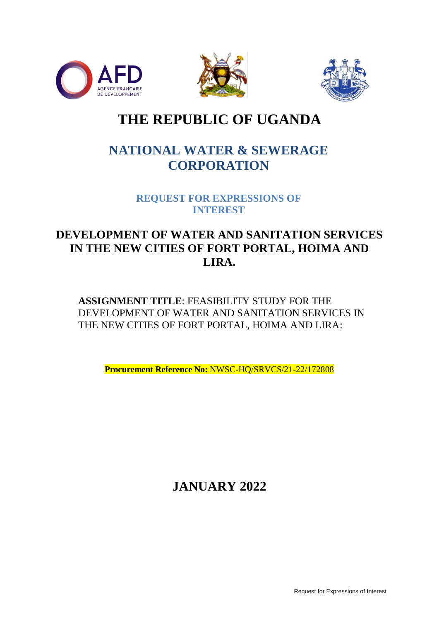





# **THE REPUBLIC OF UGANDA**

## **NATIONAL WATER & SEWERAGE CORPORATION**

**REQUEST FOR EXPRESSIONS OF INTEREST**

## **DEVELOPMENT OF WATER AND SANITATION SERVICES IN THE NEW CITIES OF FORT PORTAL, HOIMA AND LIRA.**

**ASSIGNMENT TITLE**: FEASIBILITY STUDY FOR THE DEVELOPMENT OF WATER AND SANITATION SERVICES IN THE NEW CITIES OF FORT PORTAL, HOIMA AND LIRA:

**Procurement Reference No:** NWSC-HQ/SRVCS/21-22/172808

**JANUARY 2022**

Request for Expressions of Interest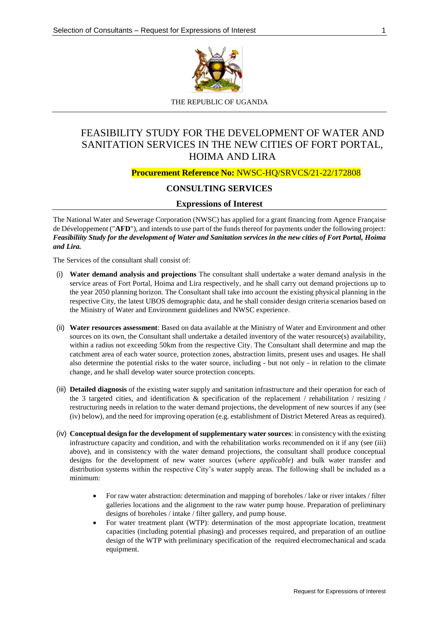

THE REPUBLIC OF UGANDA

### FEASIBILITY STUDY FOR THE DEVELOPMENT OF WATER AND SANITATION SERVICES IN THE NEW CITIES OF FORT PORTAL, HOIMA AND LIRA

#### **Procurement Reference No:** NWSC-HQ/SRVCS/21-22/172808

### **CONSULTING SERVICES**

#### **Expressions of Interest**

The National Water and Sewerage Corporation (NWSC) has applied for a grant financing from Agence Française de Développement ("**AFD**"), and intends to use part of the funds thereof for payments under the following project: *Feasibiliity Study for the development of Water and Sanitation services in the new cities of Fort Portal, Hoima and Lira.*

The Services of the consultant shall consist of:

- (i) **Water demand analysis and projections** The consultant shall undertake a water demand analysis in the service areas of Fort Portal, Hoima and Lira respectively, and he shall carry out demand projections up to the year 2050 planning horizon. The Consultant shall take into account the existing physical planning in the respective City, the latest UBOS demographic data, and he shall consider design criteria scenarios based on the Ministry of Water and Environment guidelines and NWSC experience.
- (ii) **Water resources assessment**: Based on data available at the Ministry of Water and Environment and other sources on its own, the Consultant shall undertake a detailed inventory of the water resource(s) availability, within a radius not exceeding 50km from the respective City. The Consultant shall determine and map the catchment area of each water source, protection zones, abstraction limits, present uses and usages. He shall also determine the potential risks to the water source, including - but not only - in relation to the climate change, and he shall develop water source protection concepts.
- (iii) **Detailed diagnosis** of the existing water supply and sanitation infrastructure and their operation for each of the 3 targeted cities, and identification  $\&$  specification of the replacement / rehabilitation / resizing / restructuring needs in relation to the water demand projections, the development of new sources if any (see (iv) below), and the need for improving operation (e.g. establishment of District Metered Areas as required).
- (iv) **Conceptual design for the development of supplementary water sources**: in consistency with the existing infrastructure capacity and condition, and with the rehabilitation works recommended on it if any (see (iii) above), and in consistency with the water demand projections, the consultant shall produce conceptual designs for the development of new water sources (*where applicable*) and bulk water transfer and distribution systems within the respective City's water supply areas. The following shall be included as a minimum:
	- For raw water abstraction: determination and mapping of boreholes / lake or river intakes / filter galleries locations and the alignment to the raw water pump house. Preparation of preliminary designs of boreholes / intake / filter gallery, and pump house.
	- For water treatment plant (WTP): determination of the most appropriate location, treatment capacities (including potential phasing) and processes required, and preparation of an outline design of the WTP with preliminary specification of the required electromechanical and scada equipment.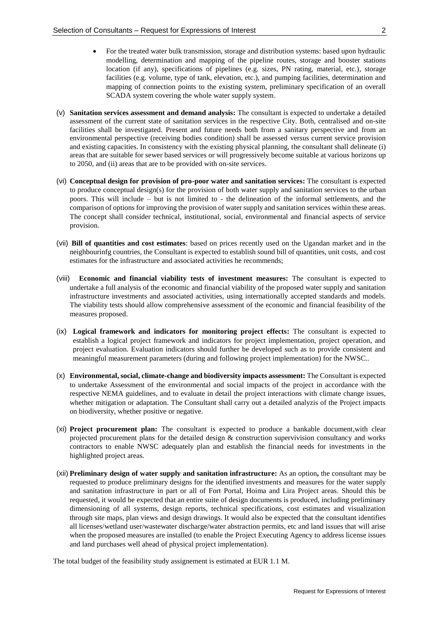- For the treated water bulk transmission, storage and distribution systems: based upon hydraulic modelling, determination and mapping of the pipeline routes, storage and booster stations location (if any), specifications of pipelines (e.g. sizes, PN rating, material, etc.), storage facilities (e.g. volume, type of tank, elevation, etc.), and pumping facilities, determination and mapping of connection points to the existing system, preliminary specification of an overall SCADA system covering the whole water supply system.
- (v) **Sanitation services assessment and demand analysis:** The consultant is expected to undertake a detailed assessment of the current state of sanitation services in the respective City. Both, centralised and on-site facilities shall be investigated. Present and future needs both from a sanitary perspective and from an environmental perspective (receiving bodies condition) shall be assessed versus current service provision and existing capacities. In consistency with the existing physical planning, the consultant shall delineate (i) areas that are suitable for sewer based services or will progressively become suitable at various horizons up to 2050, and (ii) areas that are to be provided with on-site services.
- (vi) **Conceptual design for provision of pro-poor water and sanitation services:** The consultant is expected to produce conceptual design(s) for the provision of both water supply and sanitation services to the urban poors. This will include – but is not limited to - the delineation of the informal settlements, and the comparison of options for improving the provision of water supply and sanitation services within these areas. The concept shall consider technical, institutional, social, environmental and financial aspects of service provision.
- (vii) **Bill of quantities and cost estimates**: based on prices recently used on the Ugandan market and in the neighbourinfg countries, the Consultant is expected to establish sound bill of quantities, unit costs, and cost estimates for the infrastructure and associated activities he recommends;
- (viii) **Economic and financial viability tests of investment measures:** The consultant is expected to undertake a full analysis of the economic and financial viability of the proposed water supply and sanitation infrastructure investments and associated activities, using internationally accepted standards and models. The viability tests should allow comprehensive assessment of the economic and financial feasibility of the measures proposed.
- (ix) **Logical framework and indicators for monitoring project effects:** The consultant is expected to establish a logical project framework and indicators for project implementation, project operation, and project evaluation. Evaluation indicators should further be developed such as to provide consistent and meaningful measurement parameters (during and following project implementation) for the NWSC..
- (x) **Environmental, social, climate-change and biodiversity impacts assessment:** The Consultant is expected to undertake Assessment of the environmental and social impacts of the project in accordance with the respective NEMA guidelines, and to evaluate in detail the project interactions with climate change issues, whether mitigation or adaptation. The Consultant shall carry out a detailed analyzis of the Project impacts on biodiversity, whether positive or negative.
- (xi) **Project procurement plan:** The consultant is expected to produce a bankable document,with clear projected procurement plans for the detailed design & construction supervivision consultancy and works contractors to enable NWSC adequately plan and establish the financial needs for investments in the highlighted project areas.
- (xii) **Preliminary design of water supply and sanitation infrastructure:** As an option**,** the consultant may be requested to produce preliminary designs for the identified investments and measures for the water supply and sanitation infrastructure in part or all of Fort Portal, Hoima and Lira Project areas. Should this be requested, it would be expected that an entire suite of design documents is produced, including preliminary dimensioning of all systems, design reports, technical specifications, cost estimates and visualization through site maps, plan views and design drawings. It would also be expected that the consultant identifies all licenses/wetland user/wastewater discharge/water abstraction permits, etc and land issues that will arise when the proposed measures are installed (to enable the Project Executing Agency to address license issues and land purchases well ahead of physical project implementation).

The total budget of the feasibility study assignement is estimated at EUR 1.1 M.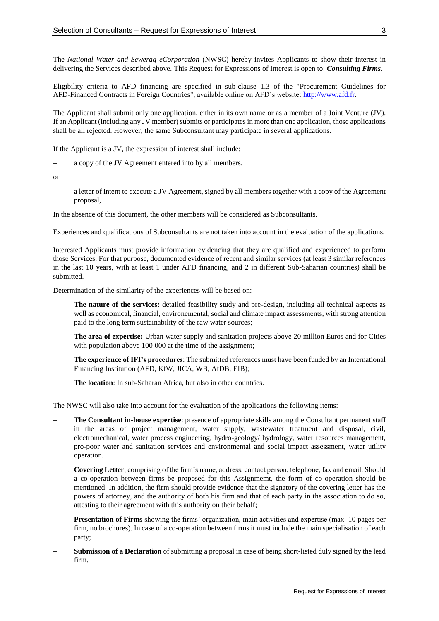The *National Water and Sewerag eCorporation* (NWSC) hereby invites Applicants to show their interest in delivering the Services described above. This Request for Expressions of Interest is open to: *Consulting Firms.*

Eligibility criteria to AFD financing are specified in sub-clause 1.3 of the "Procurement Guidelines for AFD-Financed Contracts in Foreign Countries", available online on AFD's website: [http://www.afd.fr.](http://www.afd.fr/)

The Applicant shall submit only one application, either in its own name or as a member of a Joint Venture (JV). If an Applicant (including any JV member) submits or participates in more than one application, those applications shall be all rejected. However, the same Subconsultant may participate in several applications.

If the Applicant is a JV, the expression of interest shall include:

a copy of the JV Agreement entered into by all members,

or

 a letter of intent to execute a JV Agreement, signed by all members together with a copy of the Agreement proposal,

In the absence of this document, the other members will be considered as Subconsultants.

Experiences and qualifications of Subconsultants are not taken into account in the evaluation of the applications.

Interested Applicants must provide information evidencing that they are qualified and experienced to perform those Services. For that purpose, documented evidence of recent and similar services (at least 3 similar references in the last 10 years, with at least 1 under AFD financing, and 2 in different Sub-Saharian countries) shall be submitted.

Determination of the similarity of the experiences will be based on:

- **The nature of the services:** detailed feasibility study and pre-design, including all technical aspects as well as economical, financial, environemental, social and climate impact assessments, with strong attention paid to the long term sustainability of the raw water sources;
- **The area of expertise:** Urban water supply and sanitation projects above 20 million Euros and for Cities with population above 100 000 at the time of the assignment;
- **The experience of IFI's procedures**: The submitted references must have been funded by an International Financing Institution (AFD, KfW, JICA, WB, AfDB, EIB);
- **The location**: In sub-Saharan Africa, but also in other countries.

The NWSC will also take into account for the evaluation of the applications the following items:

- **The Consultant in-house expertise**: presence of appropriate skills among the Consultant permanent staff in the areas of project management, water supply, wastewater treatment and disposal, civil, electromechanical, water process engineering, hydro-geology/ hydrology, water resources management, pro-poor water and sanitation services and environmental and social impact assessment, water utility operation.
- **Covering Letter**, comprising of the firm's name, address, contact person, telephone, fax and email. Should a co-operation between firms be proposed for this Assignmemt, the form of co-operation should be mentioned. In addition, the firm should provide evidence that the signatory of the covering letter has the powers of attorney, and the authority of both his firm and that of each party in the association to do so, attesting to their agreement with this authority on their behalf;
- **Presentation of Firms** showing the firms' organization, main activities and expertise (max. 10 pages per firm, no brochures). In case of a co-operation between firms it must include the main specialisation of each party;
- **Submission of a Declaration** of submitting a proposal in case of being short-listed duly signed by the lead firm.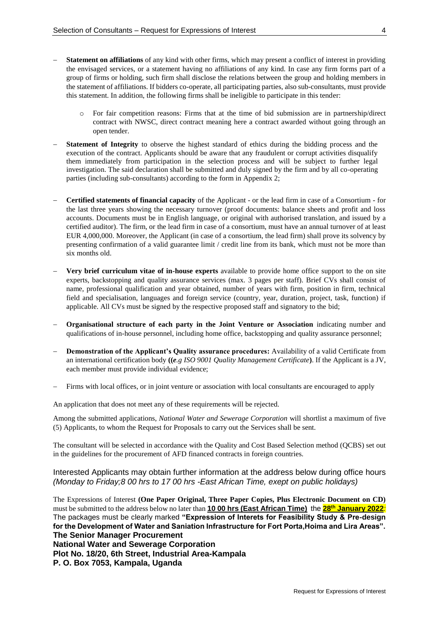- **Statement on affiliations** of any kind with other firms, which may present a conflict of interest in providing the envisaged services, or a statement having no affiliations of any kind. In case any firm forms part of a group of firms or holding, such firm shall disclose the relations between the group and holding members in the statement of affiliations. If bidders co-operate, all participating parties, also sub-consultants, must provide this statement. In addition, the following firms shall be ineligible to participate in this tender:
	- For fair competition reasons: Firms that at the time of bid submission are in partnership/direct contract with NWSC, direct contract meaning here a contract awarded without going through an open tender.
- **Statement of Integrity** to observe the highest standard of ethics during the bidding process and the execution of the contract. Applicants should be aware that any fraudulent or corrupt activities disqualify them immediately from participation in the selection process and will be subject to further legal investigation. The said declaration shall be submitted and duly signed by the firm and by all co-operating parties (including sub-consultants) according to the form in Appendix 2;
- **Certified statements of financial capacity** of the Applicant or the lead firm in case of a Consortium for the last three years showing the necessary turnover (proof documents: balance sheets and profit and loss accounts. Documents must be in English language, or original with authorised translation, and issued by a certified auditor). The firm, or the lead firm in case of a consortium, must have an annual turnover of at least EUR 4,000,000. Moreover, the Applicant (in case of a consortium, the lead firm) shall prove its solvency by presenting confirmation of a valid guarantee limit / credit line from its bank, which must not be more than six months old.
- **Very brief curriculum vitae of in-house experts** available to provide home office support to the on site experts, backstopping and quality assurance services (max. 3 pages per staff). Brief CVs shall consist of name, professional qualification and year obtained, number of years with firm, position in firm, technical field and specialisation, languages and foreign service (country, year, duration, project, task, function) if applicable. All CVs must be signed by the respective proposed staff and signatory to the bid;
- **Organisational structure of each party in the Joint Venture or Association** indicating number and qualifications of in-house personnel, including home office, backstopping and quality assurance personnel;
- **Demonstration of the Applicant's Quality assurance procedures:** Availability of a valid Certificate from an international certification body **((***e.g ISO 9001 Quality Management Certificate***)**. If the Applicant is a JV, each member must provide individual evidence;
- Firms with local offices, or in joint venture or association with local consultants are encouraged to apply

An application that does not meet any of these requirements will be rejected.

Among the submitted applications, *National Water and Sewerage Corporation* will shortlist a maximum of five (5) Applicants, to whom the Request for Proposals to carry out the Services shall be sent.

The consultant will be selected in accordance with the Quality and Cost Based Selection method (QCBS) set out in the guidelines for the procurement of AFD financed contracts in foreign countries.

#### Interested Applicants may obtain further information at the address below during office hours *(Monday to Friday;8 00 hrs to 17 00 hrs -East African Time, exept on public holidays)*

The Expressions of Interest **(One Paper Original, Three Paper Copies, Plus Electronic Document on CD)** must be submitted to the address below no later than **10 00 hrs (East African Time)** the **28th January 2022***:* The packages must be clearly marked **"Expression of Interets for Feasibility Study & Pre-design for the Development of Water and Saniation Infrastructure for Fort Porta,Hoima and Lira Areas". The Senior Manager Procurement National Water and Sewerage Corporation Plot No. 18/20, 6th Street, Industrial Area-Kampala P. O. Box 7053, Kampala, Uganda**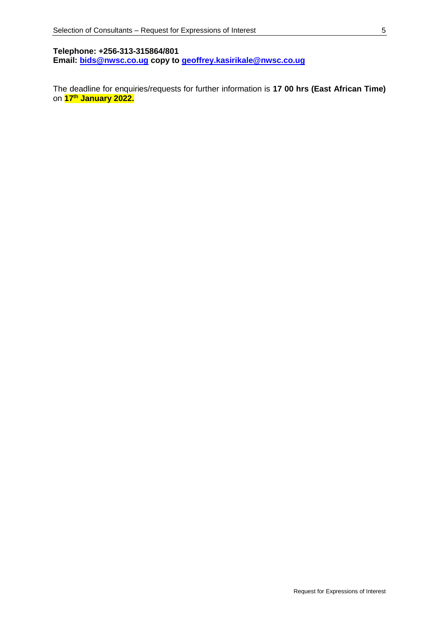**Telephone: +256-313-315864/801 Email: [bids@nwsc.co.ug](mailto:bids@nwsc.co.ug) copy to [geoffrey.kasirikale@nwsc.co.ug](mailto:geoffrey.kasirikale@nwsc.co.ug)**

The deadline for enquiries/requests for further information is **17 00 hrs (East African Time)** on **17th January 2022.**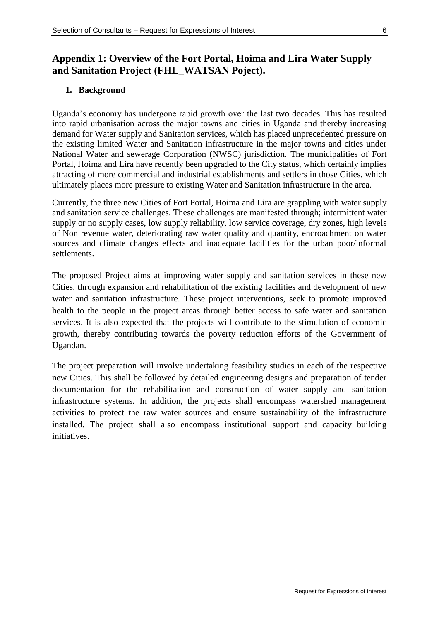### **Appendix 1: Overview of the Fort Portal, Hoima and Lira Water Supply and Sanitation Project (FHL\_WATSAN Poject).**

### **1. Background**

Uganda's economy has undergone rapid growth over the last two decades. This has resulted into rapid urbanisation across the major towns and cities in Uganda and thereby increasing demand for Water supply and Sanitation services, which has placed unprecedented pressure on the existing limited Water and Sanitation infrastructure in the major towns and cities under National Water and sewerage Corporation (NWSC) jurisdiction. The municipalities of Fort Portal, Hoima and Lira have recently been upgraded to the City status, which certainly implies attracting of more commercial and industrial establishments and settlers in those Cities, which ultimately places more pressure to existing Water and Sanitation infrastructure in the area.

Currently, the three new Cities of Fort Portal, Hoima and Lira are grappling with water supply and sanitation service challenges. These challenges are manifested through; intermittent water supply or no supply cases, low supply reliability, low service coverage, dry zones, high levels of Non revenue water, deteriorating raw water quality and quantity, encroachment on water sources and climate changes effects and inadequate facilities for the urban poor/informal settlements.

The proposed Project aims at improving water supply and sanitation services in these new Cities, through expansion and rehabilitation of the existing facilities and development of new water and sanitation infrastructure. These project interventions, seek to promote improved health to the people in the project areas through better access to safe water and sanitation services. It is also expected that the projects will contribute to the stimulation of economic growth, thereby contributing towards the poverty reduction efforts of the Government of Ugandan.

The project preparation will involve undertaking feasibility studies in each of the respective new Cities. This shall be followed by detailed engineering designs and preparation of tender documentation for the rehabilitation and construction of water supply and sanitation infrastructure systems. In addition, the projects shall encompass watershed management activities to protect the raw water sources and ensure sustainability of the infrastructure installed. The project shall also encompass institutional support and capacity building initiatives.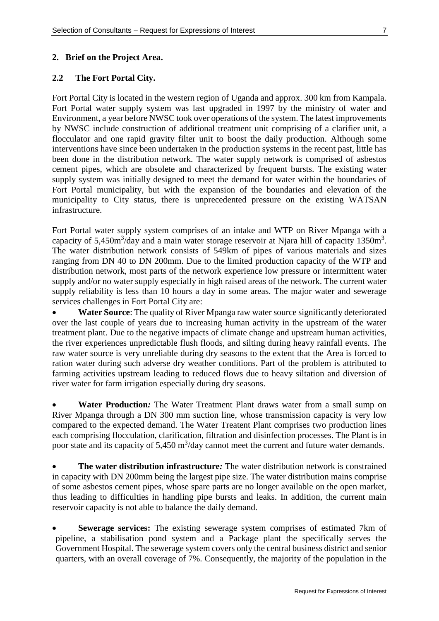### **2. Brief on the Project Area.**

#### **2.2 The Fort Portal City.**

Fort Portal City is located in the western region of Uganda and approx. 300 km from Kampala. Fort Portal water supply system was last upgraded in 1997 by the ministry of water and Environment, a year before NWSC took over operations of the system. The latest improvements by NWSC include construction of additional treatment unit comprising of a clarifier unit, a flocculator and one rapid gravity filter unit to boost the daily production. Although some interventions have since been undertaken in the production systems in the recent past, little has been done in the distribution network. The water supply network is comprised of asbestos cement pipes, which are obsolete and characterized by frequent bursts. The existing water supply system was initially designed to meet the demand for water within the boundaries of Fort Portal municipality, but with the expansion of the boundaries and elevation of the municipality to City status, there is unprecedented pressure on the existing WATSAN infrastructure.

Fort Portal water supply system comprises of an intake and WTP on River Mpanga with a capacity of 5,450m<sup>3</sup>/day and a main water storage reservoir at Njara hill of capacity 1350m<sup>3</sup>. The water distribution network consists of 549km of pipes of various materials and sizes ranging from DN 40 to DN 200mm. Due to the limited production capacity of the WTP and distribution network, most parts of the network experience low pressure or intermittent water supply and/or no water supply especially in high raised areas of the network. The current water supply reliability is less than 10 hours a day in some areas. The major water and sewerage services challenges in Fort Portal City are:

 **Water Source**: The quality of River Mpanga raw water source significantly deteriorated over the last couple of years due to increasing human activity in the upstream of the water treatment plant. Due to the negative impacts of climate change and upstream human activities, the river experiences unpredictable flush floods, and silting during heavy rainfall events. The raw water source is very unreliable during dry seasons to the extent that the Area is forced to ration water during such adverse dry weather conditions. Part of the problem is attributed to farming activities upstream leading to reduced flows due to heavy siltation and diversion of river water for farm irrigation especially during dry seasons.

 **Water Production***:* The Water Treatment Plant draws water from a small sump on River Mpanga through a DN 300 mm suction line, whose transmission capacity is very low compared to the expected demand. The Water Treatent Plant comprises two production lines each comprising flocculation, clarification, filtration and disinfection processes. The Plant is in poor state and its capacity of  $5,450 \text{ m}^3$ /day cannot meet the current and future water demands.

 **The water distribution infrastructure***:* The water distribution network is constrained in capacity with DN 200mm being the largest pipe size. The water distribution mains comprise of some asbestos cement pipes, whose spare parts are no longer available on the open market, thus leading to difficulties in handling pipe bursts and leaks. In addition, the current main reservoir capacity is not able to balance the daily demand.

 **Sewerage services:** The existing sewerage system comprises of estimated 7km of pipeline, a stabilisation pond system and a Package plant the specifically serves the Government Hospital. The sewerage system covers only the central business district and senior quarters, with an overall coverage of 7%. Consequently, the majority of the population in the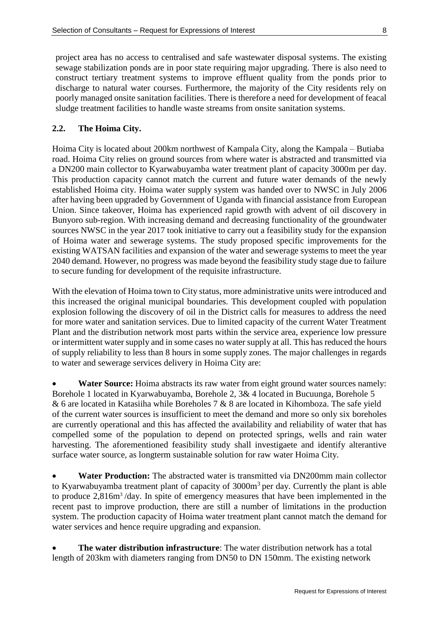project area has no access to centralised and safe wastewater disposal systems. The existing sewage stabilization ponds are in poor state requiring major upgrading. There is also need to construct tertiary treatment systems to improve effluent quality from the ponds prior to discharge to natural water courses. Furthermore, the majority of the City residents rely on poorly managed onsite sanitation facilities. There is therefore a need for development of feacal sludge treatment facilities to handle waste streams from onsite sanitation systems.

### **2.2. The Hoima City.**

Hoima City is located about 200km northwest of Kampala City, along the Kampala – Butiaba road. Hoima City relies on ground sources from where water is abstracted and transmitted via a DN200 main collector to Kyarwabuyamba water treatment plant of capacity 3000m per day. This production capacity cannot match the current and future water demands of the newly established Hoima city. Hoima water supply system was handed over to NWSC in July 2006 after having been upgraded by Government of Uganda with financial assistance from European Union. Since takeover, Hoima has experienced rapid growth with advent of oil discovery in Bunyoro sub-region. With increasing demand and decreasing functionality of the groundwater sources NWSC in the year 2017 took initiative to carry out a feasibility study for the expansion of Hoima water and sewerage systems. The study proposed specific improvements for the existing WATSAN facilities and expansion of the water and sewerage systems to meet the year 2040 demand. However, no progress was made beyond the feasibility study stage due to failure to secure funding for development of the requisite infrastructure.

With the elevation of Hoima town to City status, more administrative units were introduced and this increased the original municipal boundaries. This development coupled with population explosion following the discovery of oil in the District calls for measures to address the need for more water and sanitation services. Due to limited capacity of the current Water Treatment Plant and the distribution network most parts within the service area, experience low pressure or intermittent water supply and in some cases no water supply at all. This has reduced the hours of supply reliability to less than 8 hours in some supply zones. The major challenges in regards to water and sewerage services delivery in Hoima City are:

 **Water Source:** Hoima abstracts its raw water from eight ground water sources namely: Borehole 1 located in Kyarwabuyamba, Borehole 2, 3& 4 located in Bucuunga, Borehole 5 & 6 are located in Katasiiha while Boreholes 7 & 8 are located in Kihomboza. The safe yield of the current water sources is insufficient to meet the demand and more so only six boreholes are currently operational and this has affected the availability and reliability of water that has compelled some of the population to depend on protected springs, wells and rain water harvesting. The aforementioned feasibility study shall investigaete and identify alterantive surface water source, as longterm sustainable solution for raw water Hoima City.

 **Water Production:** The abstracted water is transmitted via DN200mm main collector to Kyarwabuyamba treatment plant of capacity of  $3000m<sup>3</sup>$  per day. Currently the plant is able to produce 2,816m<sup>3</sup>/day. In spite of emergency measures that have been implemented in the recent past to improve production, there are still a number of limitations in the production system. The production capacity of Hoima water treatment plant cannot match the demand for water services and hence require upgrading and expansion.

 **The water distribution infrastructure**: The water distribution network has a total length of 203km with diameters ranging from DN50 to DN 150mm. The existing network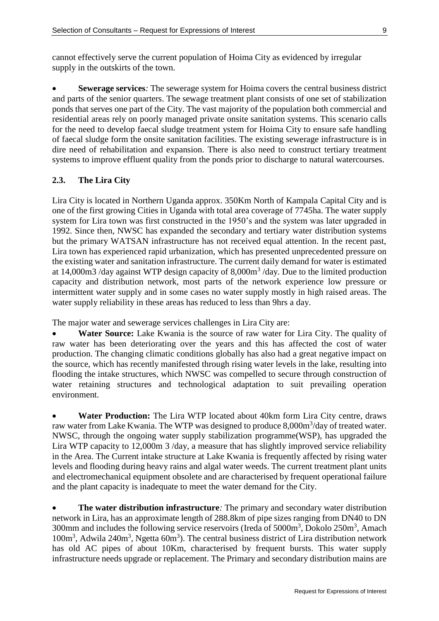cannot effectively serve the current population of Hoima City as evidenced by irregular supply in the outskirts of the town.

 **Sewerage services***:* The sewerage system for Hoima covers the central business district and parts of the senior quarters. The sewage treatment plant consists of one set of stabilization ponds that serves one part of the City. The vast majority of the population both commercial and residential areas rely on poorly managed private onsite sanitation systems. This scenario calls for the need to develop faecal sludge treatment ystem for Hoima City to ensure safe handling of faecal sludge form the onsite sanitation facilities. The existing sewerage infrastructure is in dire need of rehabilitation and expansion. There is also need to construct tertiary treatment systems to improve effluent quality from the ponds prior to discharge to natural watercourses.

### **2.3. The Lira City**

Lira City is located in Northern Uganda approx. 350Km North of Kampala Capital City and is one of the first growing Cities in Uganda with total area coverage of 7745ha. The water supply system for Lira town was first constructed in the 1950's and the system was later upgraded in 1992. Since then, NWSC has expanded the secondary and tertiary water distribution systems but the primary WATSAN infrastructure has not received equal attention. In the recent past, Lira town has experienced rapid urbanization, which has presented unprecedented pressure on the existing water and sanitation infrastructure. The current daily demand for water is estimated at 14,000m3 /day against WTP design capacity of  $8,000m^3$  /day. Due to the limited production capacity and distribution network, most parts of the network experience low pressure or intermittent water supply and in some cases no water supply mostly in high raised areas. The water supply reliability in these areas has reduced to less than 9hrs a day.

The major water and sewerage services challenges in Lira City are:

 **Water Source:** Lake Kwania is the source of raw water for Lira City. The quality of raw water has been deteriorating over the years and this has affected the cost of water production. The changing climatic conditions globally has also had a great negative impact on the source, which has recently manifested through rising water levels in the lake, resulting into flooding the intake structures, which NWSC was compelled to secure through construction of water retaining structures and technological adaptation to suit prevailing operation environment.

 **Water Production:** The Lira WTP located about 40km form Lira City centre, draws raw water from Lake Kwania. The WTP was designed to produce 8,000m<sup>3</sup>/day of treated water. NWSC, through the ongoing water supply stabilization programme(WSP), has upgraded the Lira WTP capacity to 12,000m 3 /day, a measure that has slightly improved service reliability in the Area. The Current intake structure at Lake Kwania is frequently affected by rising water levels and flooding during heavy rains and algal water weeds. The current treatment plant units and electromechanical equipment obsolete and are characterised by frequent operational failure and the plant capacity is inadequate to meet the water demand for the City.

 **The water distribution infrastructure***:* The primary and secondary water distribution network in Lira, has an approximate length of 288.8km of pipe sizes ranging from DN40 to DN 300mm and includes the following service reservoirs (Ireda of 5000m<sup>3</sup>, Dokolo 250m<sup>3</sup>, Amach 100m<sup>3</sup>, Adwila 240m<sup>3</sup>, Ngetta 60m<sup>3</sup>). The central business district of Lira distribution network has old AC pipes of about 10Km, characterised by frequent bursts. This water supply infrastructure needs upgrade or replacement. The Primary and secondary distribution mains are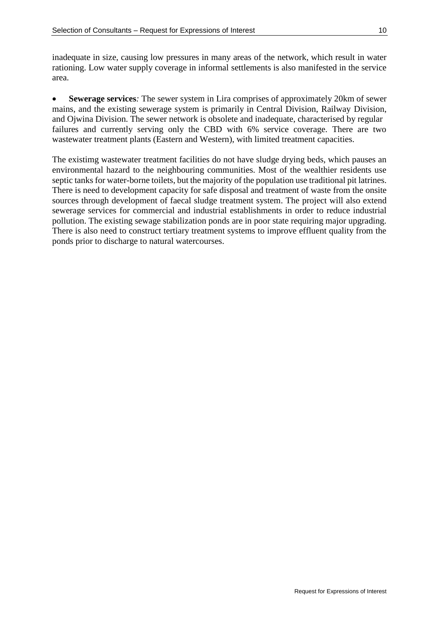inadequate in size, causing low pressures in many areas of the network, which result in water rationing. Low water supply coverage in informal settlements is also manifested in the service area.

 **Sewerage services***:* The sewer system in Lira comprises of approximately 20km of sewer mains, and the existing sewerage system is primarily in Central Division, Railway Division, and Ojwina Division. The sewer network is obsolete and inadequate, characterised by regular failures and currently serving only the CBD with 6% service coverage. There are two wastewater treatment plants (Eastern and Western), with limited treatment capacities.

The existimg wastewater treatment facilities do not have sludge drying beds, which pauses an environmental hazard to the neighbouring communities. Most of the wealthier residents use septic tanks for water-borne toilets, but the majority of the population use traditional pit latrines. There is need to development capacity for safe disposal and treatment of waste from the onsite sources through development of faecal sludge treatment system. The project will also extend sewerage services for commercial and industrial establishments in order to reduce industrial pollution. The existing sewage stabilization ponds are in poor state requiring major upgrading. There is also need to construct tertiary treatment systems to improve effluent quality from the ponds prior to discharge to natural watercourses.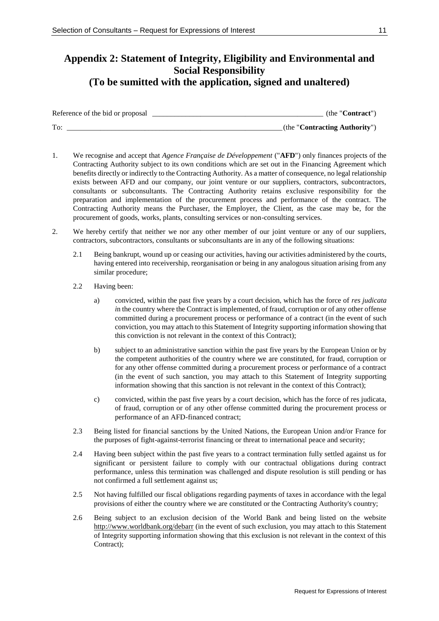### **Appendix 2: Statement of Integrity, Eligibility and Environmental and Social Responsibility (To be sumitted with the application, signed and unaltered)**

| Reference of the bid or proposal | (the "Contract"               |
|----------------------------------|-------------------------------|
| To:                              | (the "Contracting Authority") |

- 1. We recognise and accept that *Agence Française de Développement* ("**AFD**") only finances projects of the Contracting Authority subject to its own conditions which are set out in the Financing Agreement which benefits directly or indirectly to the Contracting Authority. As a matter of consequence, no legal relationship exists between AFD and our company, our joint venture or our suppliers, contractors, subcontractors, consultants or subconsultants. The Contracting Authority retains exclusive responsibility for the preparation and implementation of the procurement process and performance of the contract. The Contracting Authority means the Purchaser, the Employer, the Client, as the case may be, for the procurement of goods, works, plants, consulting services or non-consulting services.
- 2. We hereby certify that neither we nor any other member of our joint venture or any of our suppliers, contractors, subcontractors, consultants or subconsultants are in any of the following situations:
	- 2.1 Being bankrupt, wound up or ceasing our activities, having our activities administered by the courts, having entered into receivership, reorganisation or being in any analogous situation arising from any similar procedure;
	- 2.2 Having been:
		- a) convicted, within the past five years by a court decision, which has the force of *res judicata i*n the country where the Contract is implemented, of fraud, corruption or of any other offense committed during a procurement process or performance of a contract (in the event of such conviction, you may attach to this Statement of Integrity supporting information showing that this conviction is not relevant in the context of this Contract);
		- b) subject to an administrative sanction within the past five years by the European Union or by the competent authorities of the country where we are constituted, for fraud, corruption or for any other offense committed during a procurement process or performance of a contract (in the event of such sanction, you may attach to this Statement of Integrity supporting information showing that this sanction is not relevant in the context of this Contract);
		- c) convicted, within the past five years by a court decision, which has the force of res judicata, of fraud, corruption or of any other offense committed during the procurement process or performance of an AFD-financed contract;
	- 2.3 Being listed for financial sanctions by the United Nations, the European Union and/or France for the purposes of fight-against-terrorist financing or threat to international peace and security;
	- 2.4 Having been subject within the past five years to a contract termination fully settled against us for significant or persistent failure to comply with our contractual obligations during contract performance, unless this termination was challenged and dispute resolution is still pending or has not confirmed a full settlement against us;
	- 2.5 Not having fulfilled our fiscal obligations regarding payments of taxes in accordance with the legal provisions of either the country where we are constituted or the Contracting Authority's country;
	- 2.6 Being subject to an exclusion decision of the World Bank and being listed on the website <http://www.worldbank.org/debarr> (in the event of such exclusion, you may attach to this Statement of Integrity supporting information showing that this exclusion is not relevant in the context of this Contract);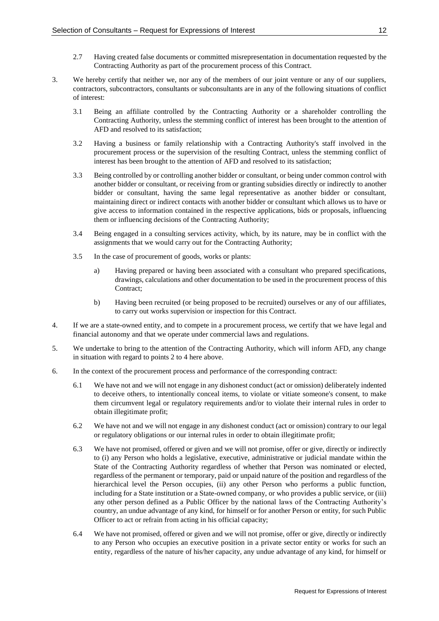- 2.7 Having created false documents or committed misrepresentation in documentation requested by the Contracting Authority as part of the procurement process of this Contract.
- 3. We hereby certify that neither we, nor any of the members of our joint venture or any of our suppliers, contractors, subcontractors, consultants or subconsultants are in any of the following situations of conflict of interest:
	- 3.1 Being an affiliate controlled by the Contracting Authority or a shareholder controlling the Contracting Authority, unless the stemming conflict of interest has been brought to the attention of AFD and resolved to its satisfaction;
	- 3.2 Having a business or family relationship with a Contracting Authority's staff involved in the procurement process or the supervision of the resulting Contract, unless the stemming conflict of interest has been brought to the attention of AFD and resolved to its satisfaction;
	- 3.3 Being controlled by or controlling another bidder or consultant, or being under common control with another bidder or consultant, or receiving from or granting subsidies directly or indirectly to another bidder or consultant, having the same legal representative as another bidder or consultant, maintaining direct or indirect contacts with another bidder or consultant which allows us to have or give access to information contained in the respective applications, bids or proposals, influencing them or influencing decisions of the Contracting Authority;
	- 3.4 Being engaged in a consulting services activity, which, by its nature, may be in conflict with the assignments that we would carry out for the Contracting Authority;
	- 3.5 In the case of procurement of goods, works or plants:
		- a) Having prepared or having been associated with a consultant who prepared specifications, drawings, calculations and other documentation to be used in the procurement process of this Contract;
		- b) Having been recruited (or being proposed to be recruited) ourselves or any of our affiliates, to carry out works supervision or inspection for this Contract.
- 4. If we are a state-owned entity, and to compete in a procurement process, we certify that we have legal and financial autonomy and that we operate under commercial laws and regulations.
- 5. We undertake to bring to the attention of the Contracting Authority, which will inform AFD, any change in situation with regard to points 2 to 4 here above.
- 6. In the context of the procurement process and performance of the corresponding contract:
	- 6.1 We have not and we will not engage in any dishonest conduct (act or omission) deliberately indented to deceive others, to intentionally conceal items, to violate or vitiate someone's consent, to make them circumvent legal or regulatory requirements and/or to violate their internal rules in order to obtain illegitimate profit;
	- 6.2 We have not and we will not engage in any dishonest conduct (act or omission) contrary to our legal or regulatory obligations or our internal rules in order to obtain illegitimate profit;
	- 6.3 We have not promised, offered or given and we will not promise, offer or give, directly or indirectly to (i) any Person who holds a legislative, executive, administrative or judicial mandate within the State of the Contracting Authority regardless of whether that Person was nominated or elected, regardless of the permanent or temporary, paid or unpaid nature of the position and regardless of the hierarchical level the Person occupies, (ii) any other Person who performs a public function, including for a State institution or a State-owned company, or who provides a public service, or (iii) any other person defined as a Public Officer by the national laws of the Contracting Authority's country, an undue advantage of any kind, for himself or for another Person or entity, for such Public Officer to act or refrain from acting in his official capacity;
	- 6.4 We have not promised, offered or given and we will not promise, offer or give, directly or indirectly to any Person who occupies an executive position in a private sector entity or works for such an entity, regardless of the nature of his/her capacity, any undue advantage of any kind, for himself or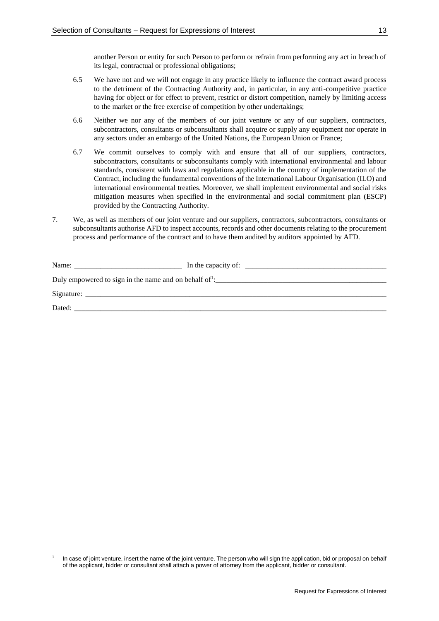another Person or entity for such Person to perform or refrain from performing any act in breach of its legal, contractual or professional obligations;

- 6.5 We have not and we will not engage in any practice likely to influence the contract award process to the detriment of the Contracting Authority and, in particular, in any anti-competitive practice having for object or for effect to prevent, restrict or distort competition, namely by limiting access to the market or the free exercise of competition by other undertakings;
- 6.6 Neither we nor any of the members of our joint venture or any of our suppliers, contractors, subcontractors, consultants or subconsultants shall acquire or supply any equipment nor operate in any sectors under an embargo of the United Nations, the European Union or France;
- 6.7 We commit ourselves to comply with and ensure that all of our suppliers, contractors, subcontractors, consultants or subconsultants comply with international environmental and labour standards, consistent with laws and regulations applicable in the country of implementation of the Contract, including the fundamental conventions of the International Labour Organisation (ILO) and international environmental treaties. Moreover, we shall implement environmental and social risks mitigation measures when specified in the environmental and social commitment plan (ESCP) provided by the Contracting Authority.
- 7. We, as well as members of our joint venture and our suppliers, contractors, subcontractors, consultants or subconsultants authorise AFD to inspect accounts, records and other documents relating to the procurement process and performance of the contract and to have them audited by auditors appointed by AFD.

| Name:<br><u> 1980 - Jan Samuel Barbara, margaret e</u> n 1980 eta eta batean eta batean batean batean batean batean batean batean | In the capacity of:<br>the contract of the contract of the contract of |  |  |
|-----------------------------------------------------------------------------------------------------------------------------------|------------------------------------------------------------------------|--|--|
| Duly empowered to sign in the name and on behalf of $\frac{1}{2}$ .                                                               |                                                                        |  |  |
|                                                                                                                                   |                                                                        |  |  |
| Dated:                                                                                                                            |                                                                        |  |  |

<sup>1</sup> 1 In case of joint venture, insert the name of the joint venture. The person who will sign the application, bid or proposal on behalf of the applicant, bidder or consultant shall attach a power of attorney from the applicant, bidder or consultant.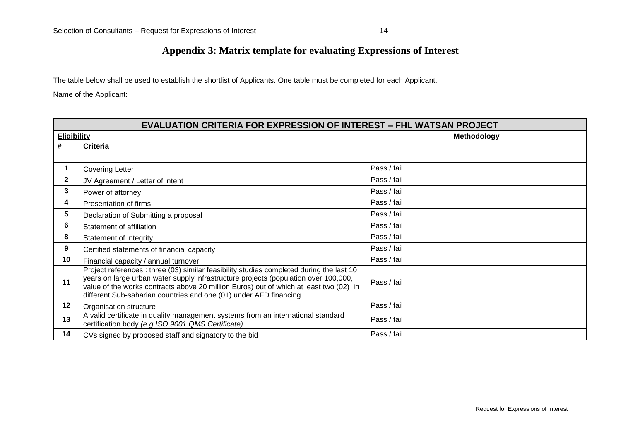### **Appendix 3: Matrix template for evaluating Expressions of Interest**

The table below shall be used to establish the shortlist of Applicants. One table must be completed for each Applicant.

Name of the Applicant: \_\_\_\_\_\_\_\_\_\_\_\_\_\_\_\_\_\_\_\_\_\_\_\_\_\_\_\_\_\_\_\_\_\_\_\_\_\_\_\_\_\_\_\_\_\_\_\_\_\_\_\_\_\_\_\_\_\_\_\_\_\_\_\_\_\_\_\_\_\_\_\_\_\_\_\_\_\_\_\_\_\_\_\_\_\_\_\_\_\_\_\_\_\_\_\_\_\_\_\_\_\_\_\_\_\_

| <b>EVALUATION CRITERIA FOR EXPRESSION OF INTEREST - FHL WATSAN PROJECT</b> |                                                                                                                                                                                                                                                                                                                                                 |             |  |  |
|----------------------------------------------------------------------------|-------------------------------------------------------------------------------------------------------------------------------------------------------------------------------------------------------------------------------------------------------------------------------------------------------------------------------------------------|-------------|--|--|
| <b>Eligibility</b>                                                         |                                                                                                                                                                                                                                                                                                                                                 | Methodology |  |  |
| #                                                                          | <b>Criteria</b>                                                                                                                                                                                                                                                                                                                                 |             |  |  |
|                                                                            |                                                                                                                                                                                                                                                                                                                                                 |             |  |  |
|                                                                            | <b>Covering Letter</b>                                                                                                                                                                                                                                                                                                                          | Pass / fail |  |  |
| 2                                                                          | JV Agreement / Letter of intent                                                                                                                                                                                                                                                                                                                 | Pass / fail |  |  |
| 3                                                                          | Power of attorney                                                                                                                                                                                                                                                                                                                               | Pass / fail |  |  |
| 4                                                                          | Presentation of firms                                                                                                                                                                                                                                                                                                                           | Pass / fail |  |  |
| 5                                                                          | Declaration of Submitting a proposal                                                                                                                                                                                                                                                                                                            | Pass / fail |  |  |
| 6                                                                          | Statement of affiliation                                                                                                                                                                                                                                                                                                                        | Pass / fail |  |  |
| 8                                                                          | Statement of integrity                                                                                                                                                                                                                                                                                                                          | Pass / fail |  |  |
| 9                                                                          | Certified statements of financial capacity                                                                                                                                                                                                                                                                                                      | Pass / fail |  |  |
| 10                                                                         | Financial capacity / annual turnover                                                                                                                                                                                                                                                                                                            | Pass / fail |  |  |
| 11                                                                         | Project references : three (03) similar feasibility studies completed during the last 10<br>years on large urban water supply infrastructure projects (population over 100,000,<br>value of the works contracts above 20 million Euros) out of which at least two (02) in<br>different Sub-saharian countries and one (01) under AFD financing. | Pass / fail |  |  |
| 12                                                                         | Organisation structure                                                                                                                                                                                                                                                                                                                          | Pass / fail |  |  |
| 13                                                                         | A valid certificate in quality management systems from an international standard<br>certification body (e.g ISO 9001 QMS Certificate)                                                                                                                                                                                                           | Pass / fail |  |  |
| 14                                                                         | CVs signed by proposed staff and signatory to the bid                                                                                                                                                                                                                                                                                           | Pass / fail |  |  |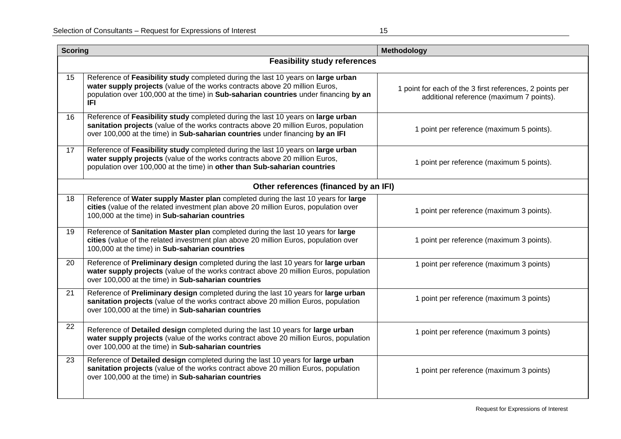| <b>Scoring</b>                        |                                                                                                                                                                                                                                                                       | Methodology                                                                                          |  |  |  |
|---------------------------------------|-----------------------------------------------------------------------------------------------------------------------------------------------------------------------------------------------------------------------------------------------------------------------|------------------------------------------------------------------------------------------------------|--|--|--|
|                                       | <b>Feasibility study references</b>                                                                                                                                                                                                                                   |                                                                                                      |  |  |  |
| 15                                    | Reference of Feasibility study completed during the last 10 years on large urban<br>water supply projects (value of the works contracts above 20 million Euros,<br>population over 100,000 at the time) in Sub-saharian countries under financing by an<br><b>IFI</b> | 1 point for each of the 3 first references, 2 points per<br>additional reference (maximum 7 points). |  |  |  |
| 16                                    | Reference of Feasibility study completed during the last 10 years on large urban<br>sanitation projects (value of the works contracts above 20 million Euros, population<br>over 100,000 at the time) in Sub-saharian countries under financing by an IFI             | 1 point per reference (maximum 5 points).                                                            |  |  |  |
| 17                                    | Reference of Feasibility study completed during the last 10 years on large urban<br>water supply projects (value of the works contracts above 20 million Euros,<br>population over 100,000 at the time) in other than Sub-saharian countries                          | 1 point per reference (maximum 5 points).                                                            |  |  |  |
| Other references (financed by an IFI) |                                                                                                                                                                                                                                                                       |                                                                                                      |  |  |  |
| 18                                    | Reference of Water supply Master plan completed during the last 10 years for large<br>cities (value of the related investment plan above 20 million Euros, population over<br>100,000 at the time) in Sub-saharian countries                                          | 1 point per reference (maximum 3 points).                                                            |  |  |  |
| 19                                    | Reference of Sanitation Master plan completed during the last 10 years for large<br>cities (value of the related investment plan above 20 million Euros, population over<br>100,000 at the time) in Sub-saharian countries                                            | 1 point per reference (maximum 3 points).                                                            |  |  |  |
| 20                                    | Reference of Preliminary design completed during the last 10 years for large urban<br>water supply projects (value of the works contract above 20 million Euros, population<br>over 100,000 at the time) in Sub-saharian countries                                    | 1 point per reference (maximum 3 points)                                                             |  |  |  |
| 21                                    | Reference of Preliminary design completed during the last 10 years for large urban<br>sanitation projects (value of the works contract above 20 million Euros, population<br>over 100,000 at the time) in Sub-saharian countries                                      | 1 point per reference (maximum 3 points)                                                             |  |  |  |
| 22                                    | Reference of Detailed design completed during the last 10 years for large urban<br>water supply projects (value of the works contract above 20 million Euros, population<br>over 100,000 at the time) in Sub-saharian countries                                       | 1 point per reference (maximum 3 points)                                                             |  |  |  |
| 23                                    | Reference of Detailed design completed during the last 10 years for large urban<br>sanitation projects (value of the works contract above 20 million Euros, population<br>over 100,000 at the time) in Sub-saharian countries                                         | 1 point per reference (maximum 3 points)                                                             |  |  |  |
|                                       |                                                                                                                                                                                                                                                                       |                                                                                                      |  |  |  |